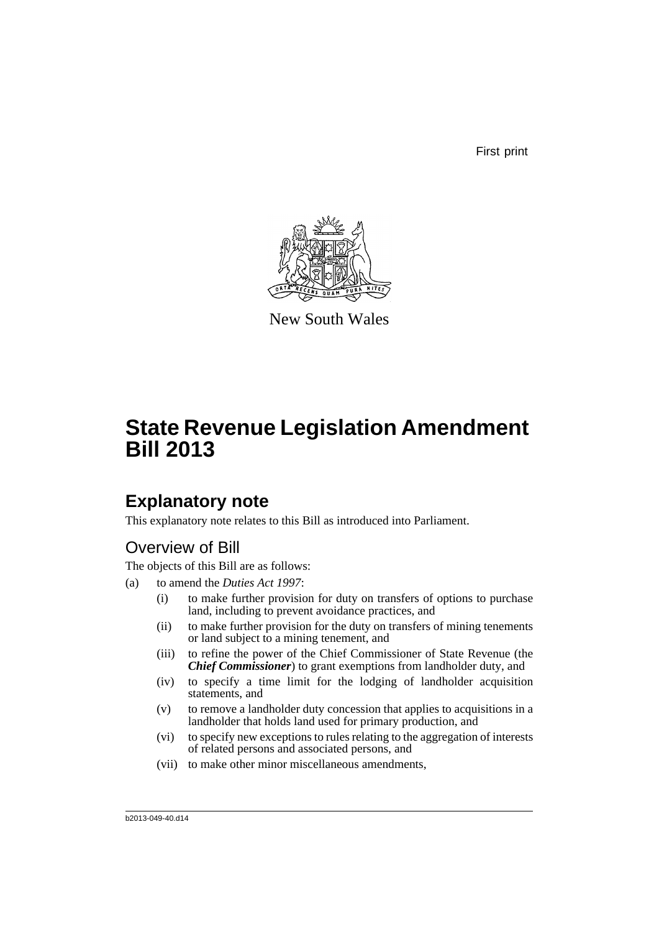First print



New South Wales

# **State Revenue Legislation Amendment Bill 2013**

## **Explanatory note**

This explanatory note relates to this Bill as introduced into Parliament.

## Overview of Bill

The objects of this Bill are as follows:

- (a) to amend the *Duties Act 1997*:
	- (i) to make further provision for duty on transfers of options to purchase land, including to prevent avoidance practices, and
	- (ii) to make further provision for the duty on transfers of mining tenements or land subject to a mining tenement, and
	- (iii) to refine the power of the Chief Commissioner of State Revenue (the *Chief Commissioner*) to grant exemptions from landholder duty, and
	- (iv) to specify a time limit for the lodging of landholder acquisition statements, and
	- (v) to remove a landholder duty concession that applies to acquisitions in a landholder that holds land used for primary production, and
	- (vi) to specify new exceptions to rules relating to the aggregation of interests of related persons and associated persons, and
	- (vii) to make other minor miscellaneous amendments,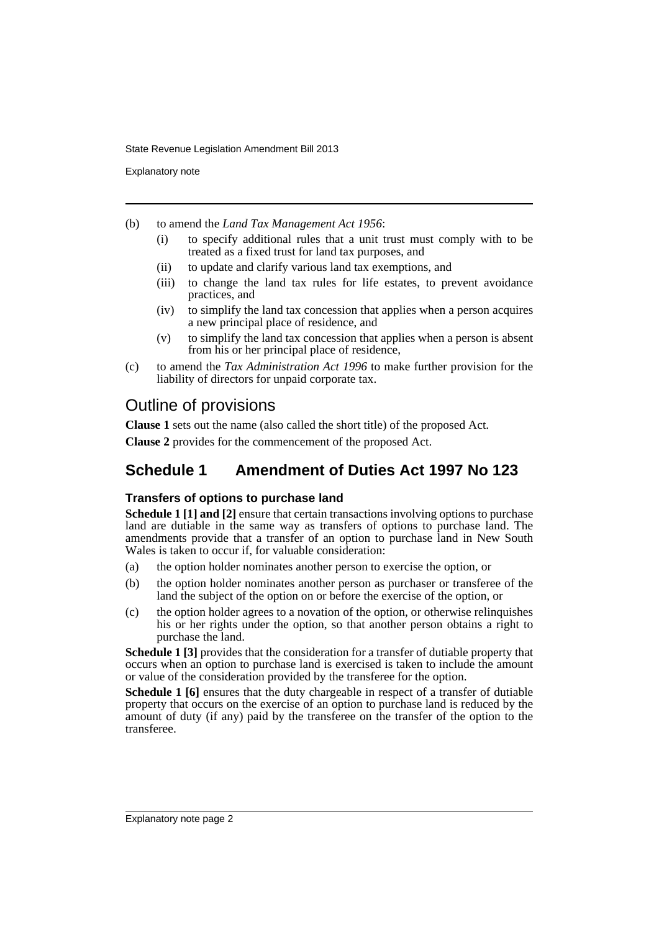Explanatory note

- (b) to amend the *Land Tax Management Act 1956*:
	- (i) to specify additional rules that a unit trust must comply with to be treated as a fixed trust for land tax purposes, and
	- (ii) to update and clarify various land tax exemptions, and
	- (iii) to change the land tax rules for life estates, to prevent avoidance practices, and
	- (iv) to simplify the land tax concession that applies when a person acquires a new principal place of residence, and
	- (v) to simplify the land tax concession that applies when a person is absent from his or her principal place of residence,
- (c) to amend the *Tax Administration Act 1996* to make further provision for the liability of directors for unpaid corporate tax.

## Outline of provisions

**Clause 1** sets out the name (also called the short title) of the proposed Act.

**Clause 2** provides for the commencement of the proposed Act.

## **Schedule 1 Amendment of Duties Act 1997 No 123**

### **Transfers of options to purchase land**

**Schedule 1 [1] and [2]** ensure that certain transactions involving options to purchase land are dutiable in the same way as transfers of options to purchase land. The amendments provide that a transfer of an option to purchase land in New South Wales is taken to occur if, for valuable consideration:

- (a) the option holder nominates another person to exercise the option, or
- (b) the option holder nominates another person as purchaser or transferee of the land the subject of the option on or before the exercise of the option, or
- (c) the option holder agrees to a novation of the option, or otherwise relinquishes his or her rights under the option, so that another person obtains a right to purchase the land.

**Schedule 1 [3]** provides that the consideration for a transfer of dutiable property that occurs when an option to purchase land is exercised is taken to include the amount or value of the consideration provided by the transferee for the option.

**Schedule 1 [6]** ensures that the duty chargeable in respect of a transfer of dutiable property that occurs on the exercise of an option to purchase land is reduced by the amount of duty (if any) paid by the transferee on the transfer of the option to the transferee.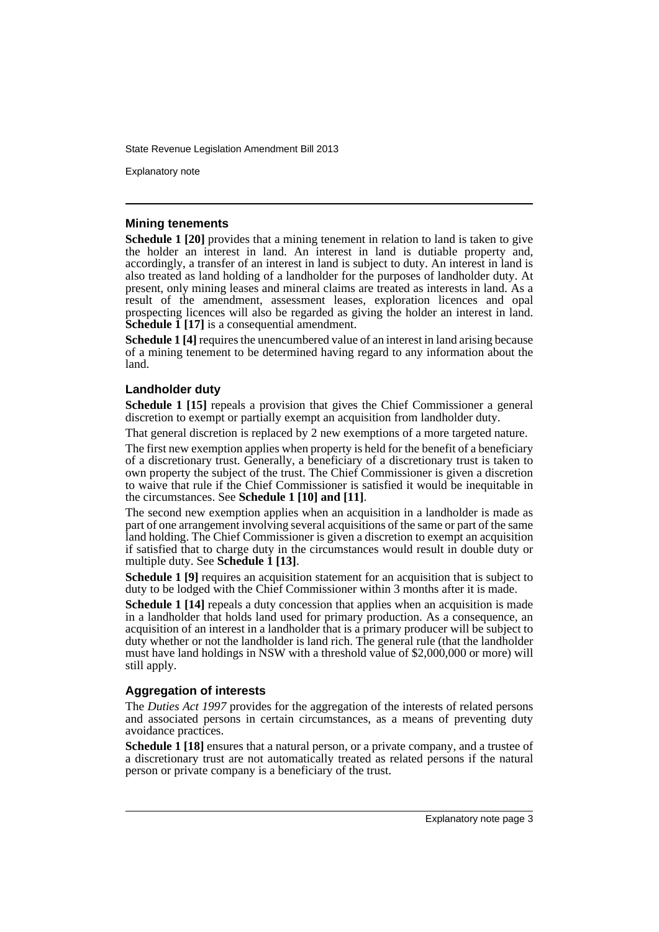Explanatory note

### **Mining tenements**

**Schedule 1 [20]** provides that a mining tenement in relation to land is taken to give the holder an interest in land. An interest in land is dutiable property and, accordingly, a transfer of an interest in land is subject to duty. An interest in land is also treated as land holding of a landholder for the purposes of landholder duty. At present, only mining leases and mineral claims are treated as interests in land. As a result of the amendment, assessment leases, exploration licences and opal prospecting licences will also be regarded as giving the holder an interest in land. **Schedule 1 [17]** is a consequential amendment.

**Schedule 1 [4]** requires the unencumbered value of an interest in land arising because of a mining tenement to be determined having regard to any information about the land.

### **Landholder duty**

**Schedule 1 [15]** repeals a provision that gives the Chief Commissioner a general discretion to exempt or partially exempt an acquisition from landholder duty.

That general discretion is replaced by 2 new exemptions of a more targeted nature.

The first new exemption applies when property is held for the benefit of a beneficiary of a discretionary trust. Generally, a beneficiary of a discretionary trust is taken to own property the subject of the trust. The Chief Commissioner is given a discretion to waive that rule if the Chief Commissioner is satisfied it would be inequitable in the circumstances. See **Schedule 1 [10] and [11]**.

The second new exemption applies when an acquisition in a landholder is made as part of one arrangement involving several acquisitions of the same or part of the same land holding. The Chief Commissioner is given a discretion to exempt an acquisition if satisfied that to charge duty in the circumstances would result in double duty or multiple duty. See **Schedule 1 [13]**.

**Schedule 1 [9]** requires an acquisition statement for an acquisition that is subject to duty to be lodged with the Chief Commissioner within 3 months after it is made.

**Schedule 1 [14]** repeals a duty concession that applies when an acquisition is made in a landholder that holds land used for primary production. As a consequence, an acquisition of an interest in a landholder that is a primary producer will be subject to duty whether or not the landholder is land rich. The general rule (that the landholder must have land holdings in NSW with a threshold value of \$2,000,000 or more) will still apply.

### **Aggregation of interests**

The *Duties Act 1997* provides for the aggregation of the interests of related persons and associated persons in certain circumstances, as a means of preventing duty avoidance practices.

**Schedule 1 [18]** ensures that a natural person, or a private company, and a trustee of a discretionary trust are not automatically treated as related persons if the natural person or private company is a beneficiary of the trust.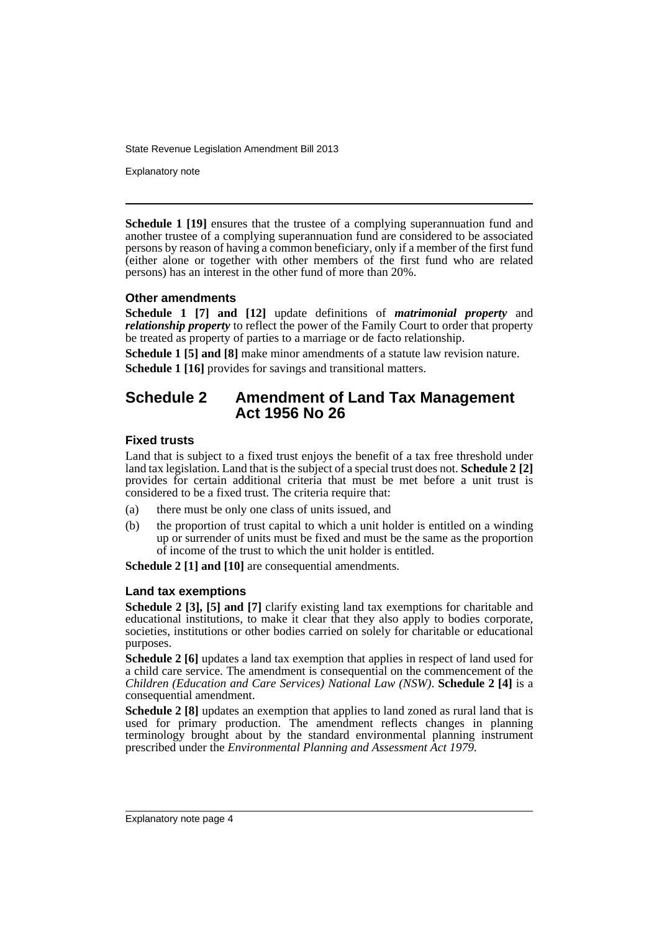Explanatory note

**Schedule 1 [19]** ensures that the trustee of a complying superannuation fund and another trustee of a complying superannuation fund are considered to be associated persons by reason of having a common beneficiary, only if a member of the first fund (either alone or together with other members of the first fund who are related persons) has an interest in the other fund of more than 20%.

### **Other amendments**

**Schedule 1 [7] and [12]** update definitions of *matrimonial property* and *relationship property* to reflect the power of the Family Court to order that property be treated as property of parties to a marriage or de facto relationship.

**Schedule 1 [5] and [8]** make minor amendments of a statute law revision nature. **Schedule 1 [16]** provides for savings and transitional matters.

## **Schedule 2 Amendment of Land Tax Management Act 1956 No 26**

### **Fixed trusts**

Land that is subject to a fixed trust enjoys the benefit of a tax free threshold under land tax legislation. Land that is the subject of a special trust does not. **Schedule 2 [2]** provides for certain additional criteria that must be met before a unit trust is considered to be a fixed trust. The criteria require that:

- (a) there must be only one class of units issued, and
- (b) the proportion of trust capital to which a unit holder is entitled on a winding up or surrender of units must be fixed and must be the same as the proportion of income of the trust to which the unit holder is entitled.

**Schedule 2 [1] and [10]** are consequential amendments.

### **Land tax exemptions**

**Schedule 2 [3], [5] and [7]** clarify existing land tax exemptions for charitable and educational institutions, to make it clear that they also apply to bodies corporate, societies, institutions or other bodies carried on solely for charitable or educational purposes.

**Schedule 2 [6]** updates a land tax exemption that applies in respect of land used for a child care service. The amendment is consequential on the commencement of the *Children (Education and Care Services) National Law (NSW)*. **Schedule 2 [4]** is a consequential amendment.

**Schedule 2 [8]** updates an exemption that applies to land zoned as rural land that is used for primary production. The amendment reflects changes in planning terminology brought about by the standard environmental planning instrument prescribed under the *Environmental Planning and Assessment Act 1979*.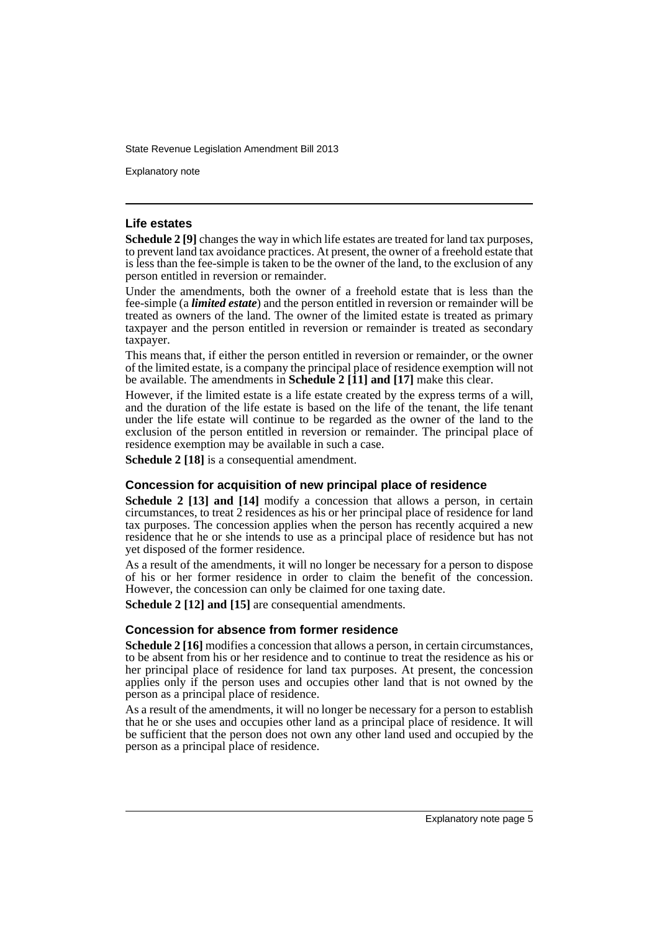Explanatory note

### **Life estates**

**Schedule 2 [9]** changes the way in which life estates are treated for land tax purposes, to prevent land tax avoidance practices. At present, the owner of a freehold estate that is less than the fee-simple is taken to be the owner of the land, to the exclusion of any person entitled in reversion or remainder.

Under the amendments, both the owner of a freehold estate that is less than the fee-simple (a *limited estate*) and the person entitled in reversion or remainder will be treated as owners of the land. The owner of the limited estate is treated as primary taxpayer and the person entitled in reversion or remainder is treated as secondary taxpayer.

This means that, if either the person entitled in reversion or remainder, or the owner of the limited estate, is a company the principal place of residence exemption will not be available. The amendments in **Schedule 2 [11] and [17]** make this clear.

However, if the limited estate is a life estate created by the express terms of a will, and the duration of the life estate is based on the life of the tenant, the life tenant under the life estate will continue to be regarded as the owner of the land to the exclusion of the person entitled in reversion or remainder. The principal place of residence exemption may be available in such a case.

**Schedule 2 [18]** is a consequential amendment.

### **Concession for acquisition of new principal place of residence**

**Schedule 2 [13] and [14]** modify a concession that allows a person, in certain circumstances, to treat 2 residences as his or her principal place of residence for land tax purposes. The concession applies when the person has recently acquired a new residence that he or she intends to use as a principal place of residence but has not yet disposed of the former residence.

As a result of the amendments, it will no longer be necessary for a person to dispose of his or her former residence in order to claim the benefit of the concession. However, the concession can only be claimed for one taxing date.

**Schedule 2 [12] and [15]** are consequential amendments.

### **Concession for absence from former residence**

**Schedule 2** [16] modifies a concession that allows a person, in certain circumstances, to be absent from his or her residence and to continue to treat the residence as his or her principal place of residence for land tax purposes. At present, the concession applies only if the person uses and occupies other land that is not owned by the person as a principal place of residence.

As a result of the amendments, it will no longer be necessary for a person to establish that he or she uses and occupies other land as a principal place of residence. It will be sufficient that the person does not own any other land used and occupied by the person as a principal place of residence.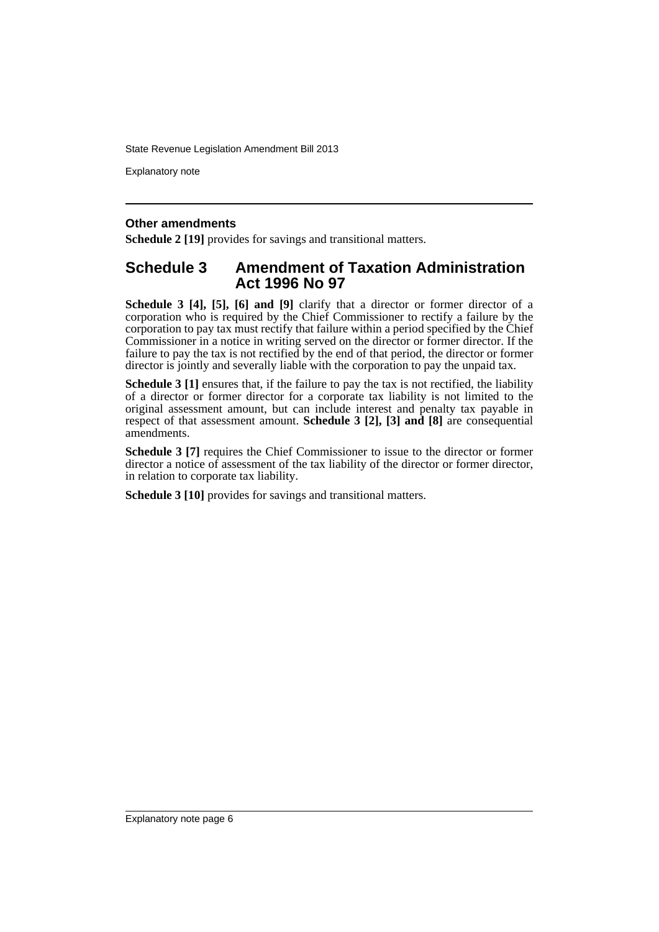Explanatory note

### **Other amendments**

**Schedule 2 [19]** provides for savings and transitional matters.

### **Schedule 3 Amendment of Taxation Administration Act 1996 No 97**

**Schedule 3 [4], [5], [6] and [9]** clarify that a director or former director of a corporation who is required by the Chief Commissioner to rectify a failure by the corporation to pay tax must rectify that failure within a period specified by the Chief Commissioner in a notice in writing served on the director or former director. If the failure to pay the tax is not rectified by the end of that period, the director or former director is jointly and severally liable with the corporation to pay the unpaid tax.

**Schedule 3** [1] ensures that, if the failure to pay the tax is not rectified, the liability of a director or former director for a corporate tax liability is not limited to the original assessment amount, but can include interest and penalty tax payable in respect of that assessment amount. **Schedule 3 [2], [3] and [8]** are consequential amendments.

**Schedule 3 [7]** requires the Chief Commissioner to issue to the director or former director a notice of assessment of the tax liability of the director or former director, in relation to corporate tax liability.

**Schedule 3 [10]** provides for savings and transitional matters.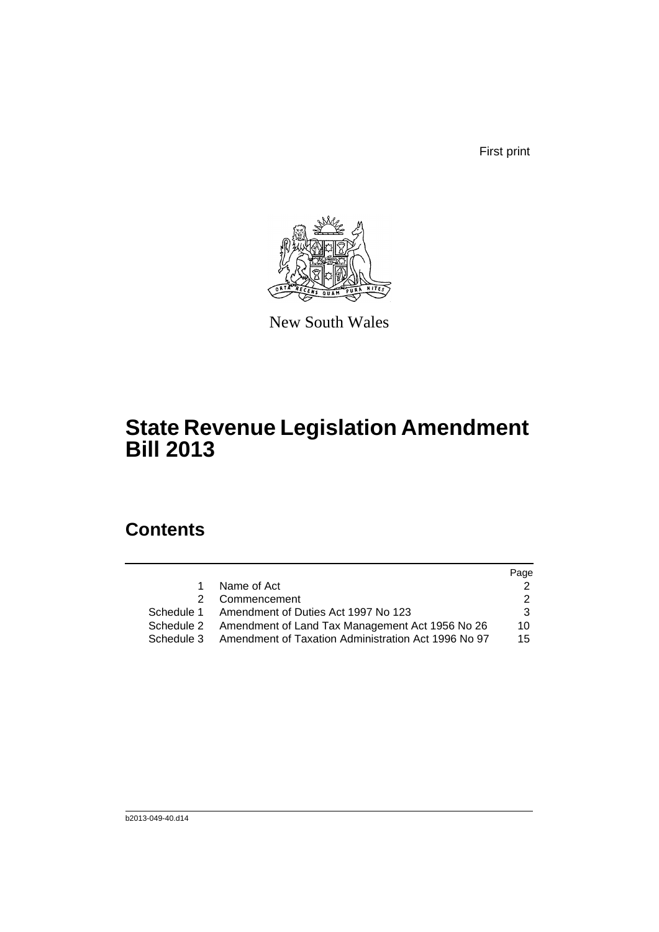First print



New South Wales

## **State Revenue Legislation Amendment Bill 2013**

## **Contents**

|            |                                                            | Page            |
|------------|------------------------------------------------------------|-----------------|
| 1.         | Name of Act                                                |                 |
|            | 2 Commencement                                             |                 |
|            | Schedule 1 Amendment of Duties Act 1997 No 123             | 3               |
|            | Schedule 2 Amendment of Land Tax Management Act 1956 No 26 | 10 <sup>1</sup> |
| Schedule 3 | Amendment of Taxation Administration Act 1996 No 97        | 15              |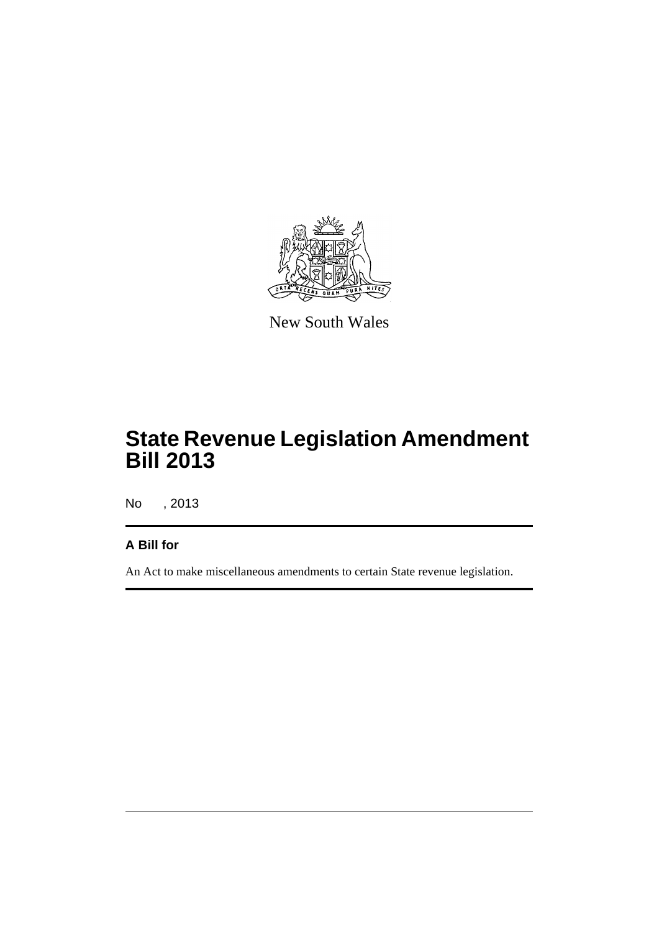

New South Wales

## **State Revenue Legislation Amendment Bill 2013**

No , 2013

## **A Bill for**

An Act to make miscellaneous amendments to certain State revenue legislation.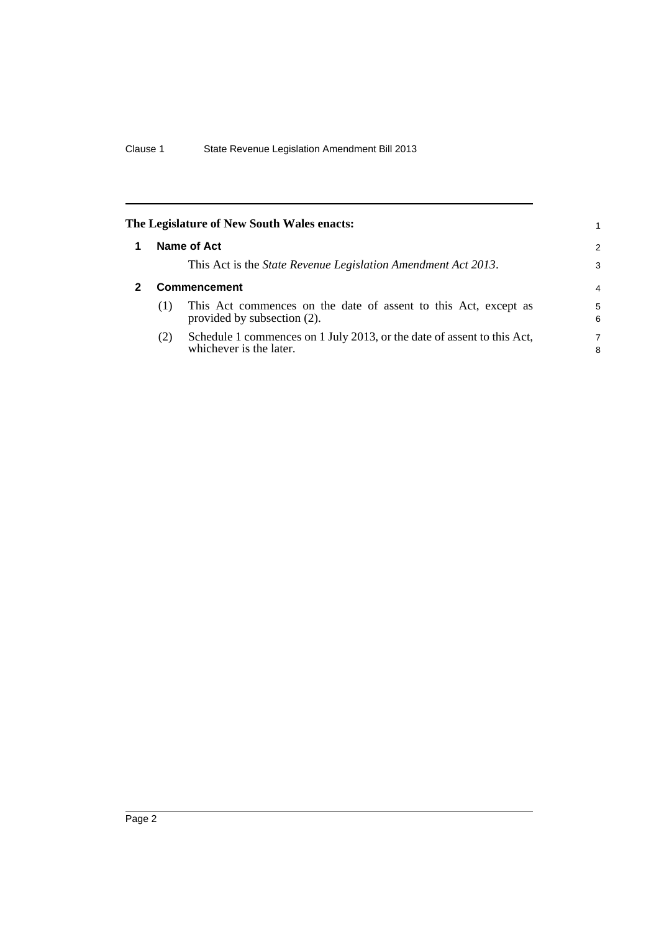<span id="page-9-1"></span><span id="page-9-0"></span>

|     | The Legislature of New South Wales enacts:                                                         |                |
|-----|----------------------------------------------------------------------------------------------------|----------------|
|     | Name of Act                                                                                        | $\overline{2}$ |
|     | This Act is the <i>State Revenue Legislation Amendment Act 2013</i> .                              | 3              |
|     | <b>Commencement</b>                                                                                | 4              |
| (1) | This Act commences on the date of assent to this Act, except as<br>provided by subsection (2).     | 5<br>6         |
| (2) | Schedule 1 commences on 1 July 2013, or the date of assent to this Act,<br>whichever is the later. | 7<br>8         |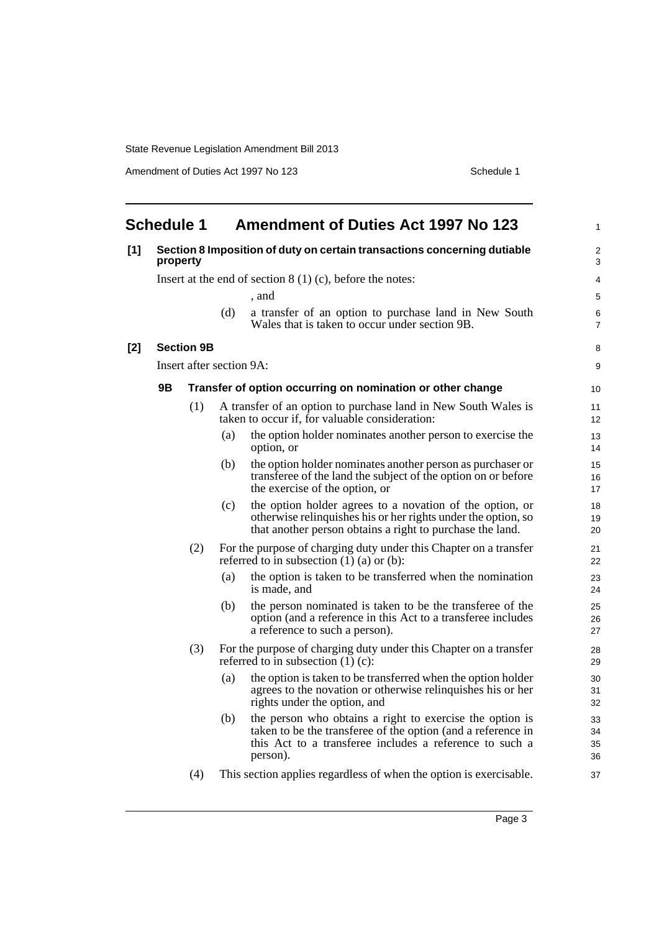Amendment of Duties Act 1997 No 123 Schedule 1

<span id="page-10-0"></span>

| <b>Schedule 1</b> |          |                   | <b>Amendment of Duties Act 1997 No 123</b> | 1                                                                                                                                                                                               |                      |
|-------------------|----------|-------------------|--------------------------------------------|-------------------------------------------------------------------------------------------------------------------------------------------------------------------------------------------------|----------------------|
| [1]               | property |                   |                                            | Section 8 Imposition of duty on certain transactions concerning dutiable                                                                                                                        | $\overline{2}$<br>3  |
|                   |          |                   |                                            | Insert at the end of section $8(1)(c)$ , before the notes:                                                                                                                                      | 4                    |
|                   |          |                   |                                            | . and                                                                                                                                                                                           | 5                    |
|                   |          |                   | (d)                                        | a transfer of an option to purchase land in New South<br>Wales that is taken to occur under section 9B.                                                                                         | 6<br>$\overline{7}$  |
| $[2]$             |          | <b>Section 9B</b> |                                            |                                                                                                                                                                                                 | 8                    |
|                   |          |                   | Insert after section 9A:                   |                                                                                                                                                                                                 | 9                    |
|                   | 9Β       |                   |                                            | Transfer of option occurring on nomination or other change                                                                                                                                      | 10 <sup>1</sup>      |
|                   |          | (1)               |                                            | A transfer of an option to purchase land in New South Wales is<br>taken to occur if, for valuable consideration:                                                                                | 11<br>12             |
|                   |          |                   | (a)                                        | the option holder nominates another person to exercise the<br>option, or                                                                                                                        | 13<br>14             |
|                   |          |                   | (b)                                        | the option holder nominates another person as purchaser or<br>transferee of the land the subject of the option on or before<br>the exercise of the option, or                                   | 15<br>16<br>17       |
|                   |          |                   | (c)                                        | the option holder agrees to a novation of the option, or<br>otherwise relinquishes his or her rights under the option, so<br>that another person obtains a right to purchase the land.          | 18<br>19<br>20       |
|                   |          | (2)               |                                            | For the purpose of charging duty under this Chapter on a transfer<br>referred to in subsection $(1)$ $(a)$ or $(b)$ :                                                                           | 21<br>22             |
|                   |          |                   | (a)                                        | the option is taken to be transferred when the nomination<br>is made, and                                                                                                                       | 23<br>24             |
|                   |          |                   | (b)                                        | the person nominated is taken to be the transferee of the<br>option (and a reference in this Act to a transferee includes<br>a reference to such a person).                                     | 25<br>26<br>27       |
|                   |          | (3)               |                                            | For the purpose of charging duty under this Chapter on a transfer<br>referred to in subsection $(1)$ (c):                                                                                       | 28<br>29             |
|                   |          |                   | (a)                                        | the option is taken to be transferred when the option holder<br>agrees to the novation or otherwise relinquishes his or her<br>rights under the option, and                                     | 30<br>31<br>32       |
|                   |          |                   | (b)                                        | the person who obtains a right to exercise the option is<br>taken to be the transferee of the option (and a reference in<br>this Act to a transferee includes a reference to such a<br>person). | 33<br>34<br>35<br>36 |
|                   |          | (4)               |                                            | This section applies regardless of when the option is exercisable.                                                                                                                              | 37                   |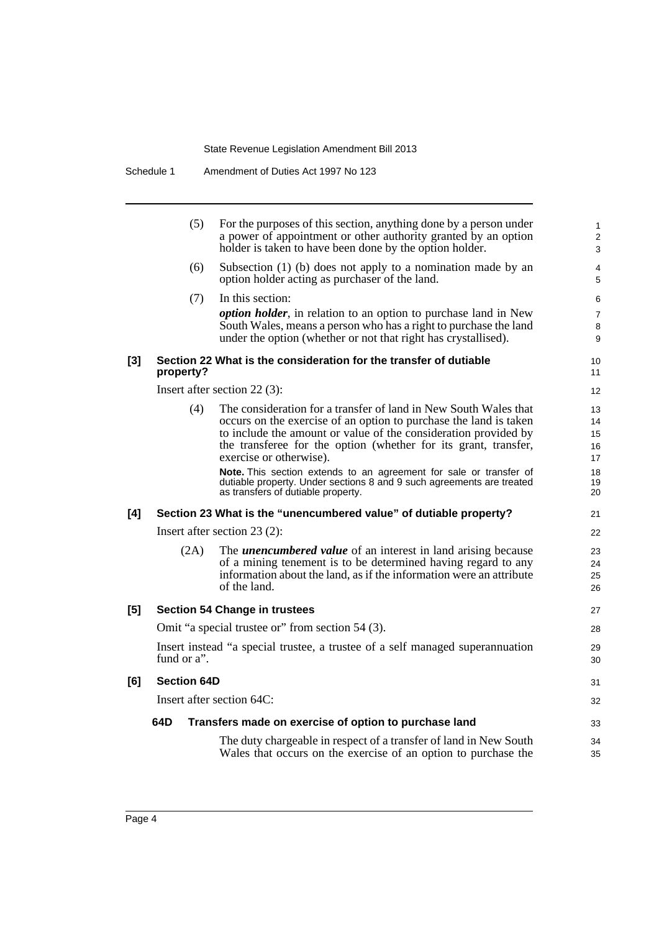|       | (5)                | For the purposes of this section, anything done by a person under<br>a power of appointment or other authority granted by an option<br>holder is taken to have been done by the option holder.                                                                                                         | $\mathbf{1}$<br>2<br>3     |
|-------|--------------------|--------------------------------------------------------------------------------------------------------------------------------------------------------------------------------------------------------------------------------------------------------------------------------------------------------|----------------------------|
|       | (6)                | Subsection $(1)$ (b) does not apply to a nomination made by an<br>option holder acting as purchaser of the land.                                                                                                                                                                                       | 4<br>5                     |
|       | (7)                | In this section:                                                                                                                                                                                                                                                                                       | 6                          |
|       |                    | <i>option holder</i> , in relation to an option to purchase land in New<br>South Wales, means a person who has a right to purchase the land<br>under the option (whether or not that right has crystallised).                                                                                          | $\overline{7}$<br>8<br>9   |
| $[3]$ | property?          | Section 22 What is the consideration for the transfer of dutiable                                                                                                                                                                                                                                      | 10<br>11                   |
|       |                    | Insert after section $22(3)$ :                                                                                                                                                                                                                                                                         | 12                         |
|       | (4)                | The consideration for a transfer of land in New South Wales that<br>occurs on the exercise of an option to purchase the land is taken<br>to include the amount or value of the consideration provided by<br>the transferee for the option (whether for its grant, transfer,<br>exercise or otherwise). | 13<br>14<br>15<br>16<br>17 |
|       |                    | Note. This section extends to an agreement for sale or transfer of<br>dutiable property. Under sections 8 and 9 such agreements are treated<br>as transfers of dutiable property.                                                                                                                      | 18<br>19<br>20             |
| [4]   |                    | Section 23 What is the "unencumbered value" of dutiable property?                                                                                                                                                                                                                                      | 21                         |
|       |                    | Insert after section $23(2)$ :                                                                                                                                                                                                                                                                         | 22                         |
|       | (2A)               | The <i>unencumbered value</i> of an interest in land arising because<br>of a mining tenement is to be determined having regard to any<br>information about the land, as if the information were an attribute<br>of the land.                                                                           | 23<br>24<br>25<br>26       |
| [5]   |                    | <b>Section 54 Change in trustees</b>                                                                                                                                                                                                                                                                   | 27                         |
|       |                    | Omit "a special trustee or" from section 54 (3).                                                                                                                                                                                                                                                       | 28                         |
|       | fund or $a$ ".     | Insert instead "a special trustee, a trustee of a self managed superannuation                                                                                                                                                                                                                          | 29<br>30                   |
| [6]   | <b>Section 64D</b> |                                                                                                                                                                                                                                                                                                        | 31                         |
|       |                    | Insert after section 64C:                                                                                                                                                                                                                                                                              | 32                         |
|       | 64D                | Transfers made on exercise of option to purchase land                                                                                                                                                                                                                                                  | 33                         |
|       |                    | The duty chargeable in respect of a transfer of land in New South<br>Wales that occurs on the exercise of an option to purchase the                                                                                                                                                                    | 34<br>35                   |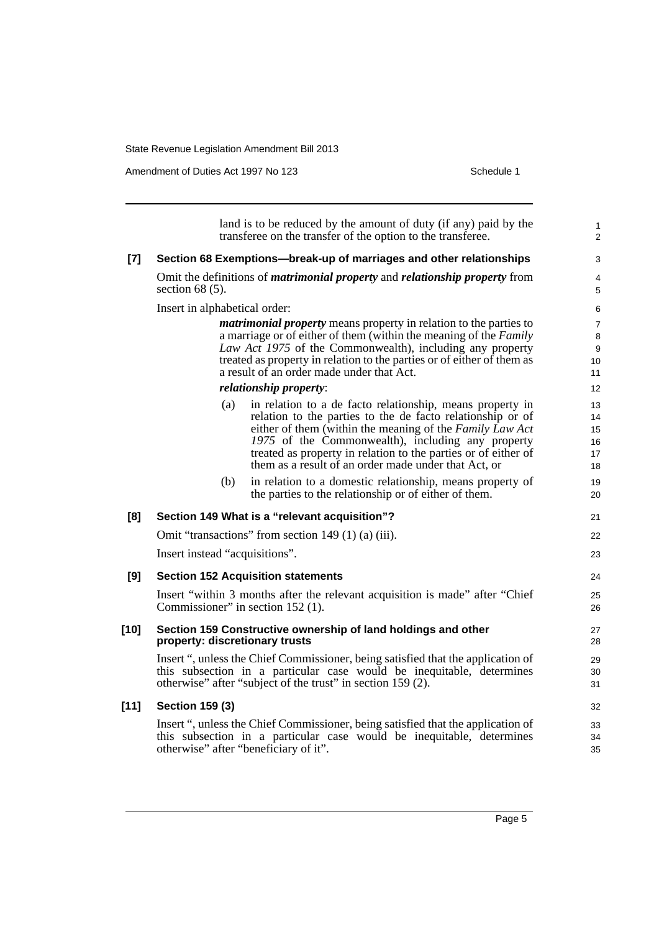Amendment of Duties Act 1997 No 123 Schedule 1

|        | land is to be reduced by the amount of duty (if any) paid by the<br>transferee on the transfer of the option to the transferee.                                                                                                                                                                                                                                           | $\mathbf{1}$<br>2                |
|--------|---------------------------------------------------------------------------------------------------------------------------------------------------------------------------------------------------------------------------------------------------------------------------------------------------------------------------------------------------------------------------|----------------------------------|
| $[7]$  | Section 68 Exemptions—break-up of marriages and other relationships                                                                                                                                                                                                                                                                                                       | 3                                |
|        | Omit the definitions of <i>matrimonial property</i> and <i>relationship property</i> from<br>section $68(5)$ .                                                                                                                                                                                                                                                            | $\overline{4}$<br>5              |
|        | Insert in alphabetical order:                                                                                                                                                                                                                                                                                                                                             | 6                                |
|        | <i>matrimonial property</i> means property in relation to the parties to<br>a marriage or of either of them (within the meaning of the Family<br>Law Act 1975 of the Commonwealth), including any property<br>treated as property in relation to the parties or of either of them as<br>a result of an order made under that Act.                                         | $\overline{7}$<br>8<br>9<br>10   |
|        | <i>relationship property:</i>                                                                                                                                                                                                                                                                                                                                             | 11<br>12                         |
|        | in relation to a de facto relationship, means property in<br>(a)<br>relation to the parties to the de facto relationship or of<br>either of them (within the meaning of the Family Law Act<br>1975 of the Commonwealth), including any property<br>treated as property in relation to the parties or of either of<br>them as a result of an order made under that Act, or | 13<br>14<br>15<br>16<br>17<br>18 |
|        | in relation to a domestic relationship, means property of<br>(b)<br>the parties to the relationship or of either of them.                                                                                                                                                                                                                                                 | 19<br>20                         |
| [8]    | Section 149 What is a "relevant acquisition"?                                                                                                                                                                                                                                                                                                                             | 21                               |
|        | Omit "transactions" from section 149 $(1)$ (a) $(iii)$ .                                                                                                                                                                                                                                                                                                                  | 22                               |
|        | Insert instead "acquisitions".                                                                                                                                                                                                                                                                                                                                            | 23                               |
| [9]    | <b>Section 152 Acquisition statements</b>                                                                                                                                                                                                                                                                                                                                 | 24                               |
|        | Insert "within 3 months after the relevant acquisition is made" after "Chief"<br>Commissioner" in section 152 (1).                                                                                                                                                                                                                                                        | 25<br>26                         |
| [10]   | Section 159 Constructive ownership of land holdings and other<br>property: discretionary trusts                                                                                                                                                                                                                                                                           | 27<br>28                         |
|        | Insert ", unless the Chief Commissioner, being satisfied that the application of<br>this subsection in a particular case would be inequitable, determines<br>otherwise" after "subject of the trust" in section 159 (2).                                                                                                                                                  | 29<br>30<br>31                   |
| $[11]$ | <b>Section 159 (3)</b>                                                                                                                                                                                                                                                                                                                                                    | 32                               |
|        | Insert ", unless the Chief Commissioner, being satisfied that the application of<br>this subsection in a particular case would be inequitable, determines<br>otherwise" after "beneficiary of it".                                                                                                                                                                        | 33<br>34<br>35                   |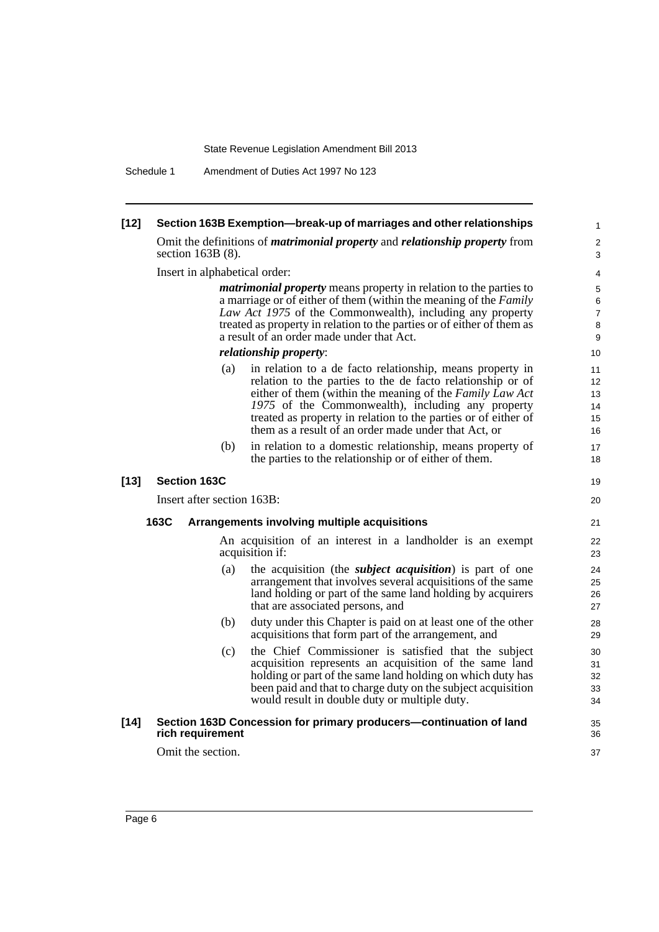Schedule 1 Amendment of Duties Act 1997 No 123

| $[12]$ | Section 163B Exemption—break-up of marriages and other relationships |                                                                                                                                                                                                                                                                                                                                   |                                                                                                                                                                                                                                                                                                                                                                    |                                               |  |  |  |
|--------|----------------------------------------------------------------------|-----------------------------------------------------------------------------------------------------------------------------------------------------------------------------------------------------------------------------------------------------------------------------------------------------------------------------------|--------------------------------------------------------------------------------------------------------------------------------------------------------------------------------------------------------------------------------------------------------------------------------------------------------------------------------------------------------------------|-----------------------------------------------|--|--|--|
|        | section $163B(8)$ .                                                  |                                                                                                                                                                                                                                                                                                                                   | Omit the definitions of <i>matrimonial property</i> and <i>relationship property</i> from                                                                                                                                                                                                                                                                          | 2<br>3                                        |  |  |  |
|        |                                                                      | Insert in alphabetical order:                                                                                                                                                                                                                                                                                                     |                                                                                                                                                                                                                                                                                                                                                                    |                                               |  |  |  |
|        |                                                                      | <i>matrimonial property</i> means property in relation to the parties to<br>a marriage or of either of them (within the meaning of the Family<br>Law Act 1975 of the Commonwealth), including any property<br>treated as property in relation to the parties or of either of them as<br>a result of an order made under that Act. |                                                                                                                                                                                                                                                                                                                                                                    |                                               |  |  |  |
|        |                                                                      |                                                                                                                                                                                                                                                                                                                                   | relationship property:                                                                                                                                                                                                                                                                                                                                             | 10                                            |  |  |  |
|        |                                                                      | (a)                                                                                                                                                                                                                                                                                                                               | in relation to a de facto relationship, means property in<br>relation to the parties to the de facto relationship or of<br>either of them (within the meaning of the Family Law Act<br>1975 of the Commonwealth), including any property<br>treated as property in relation to the parties or of either of<br>them as a result of an order made under that Act, or | 11<br>12 <sup>2</sup><br>13<br>14<br>15<br>16 |  |  |  |
|        |                                                                      | (b)                                                                                                                                                                                                                                                                                                                               | in relation to a domestic relationship, means property of<br>the parties to the relationship or of either of them.                                                                                                                                                                                                                                                 | 17<br>18                                      |  |  |  |
| $[13]$ | <b>Section 163C</b>                                                  |                                                                                                                                                                                                                                                                                                                                   |                                                                                                                                                                                                                                                                                                                                                                    | 19                                            |  |  |  |
|        | Insert after section 163B:                                           |                                                                                                                                                                                                                                                                                                                                   |                                                                                                                                                                                                                                                                                                                                                                    | 20                                            |  |  |  |
|        | 163C                                                                 |                                                                                                                                                                                                                                                                                                                                   | Arrangements involving multiple acquisitions                                                                                                                                                                                                                                                                                                                       | 21                                            |  |  |  |
|        |                                                                      |                                                                                                                                                                                                                                                                                                                                   | An acquisition of an interest in a landholder is an exempt<br>acquisition if:                                                                                                                                                                                                                                                                                      | 22<br>23                                      |  |  |  |
|        |                                                                      | (a)                                                                                                                                                                                                                                                                                                                               | the acquisition (the <i>subject acquisition</i> ) is part of one<br>arrangement that involves several acquisitions of the same<br>land holding or part of the same land holding by acquirers<br>that are associated persons, and                                                                                                                                   | 24<br>25<br>26<br>27                          |  |  |  |
|        |                                                                      | (b)                                                                                                                                                                                                                                                                                                                               | duty under this Chapter is paid on at least one of the other<br>acquisitions that form part of the arrangement, and                                                                                                                                                                                                                                                | 28<br>29                                      |  |  |  |
|        |                                                                      | (c)                                                                                                                                                                                                                                                                                                                               | the Chief Commissioner is satisfied that the subject<br>acquisition represents an acquisition of the same land<br>holding or part of the same land holding on which duty has<br>been paid and that to charge duty on the subject acquisition<br>would result in double duty or multiple duty.                                                                      | 30<br>31<br>32<br>33<br>34                    |  |  |  |
| $[14]$ | rich requirement                                                     |                                                                                                                                                                                                                                                                                                                                   | Section 163D Concession for primary producers-continuation of land                                                                                                                                                                                                                                                                                                 | 35<br>36                                      |  |  |  |
|        | Omit the section.                                                    |                                                                                                                                                                                                                                                                                                                                   |                                                                                                                                                                                                                                                                                                                                                                    | 37                                            |  |  |  |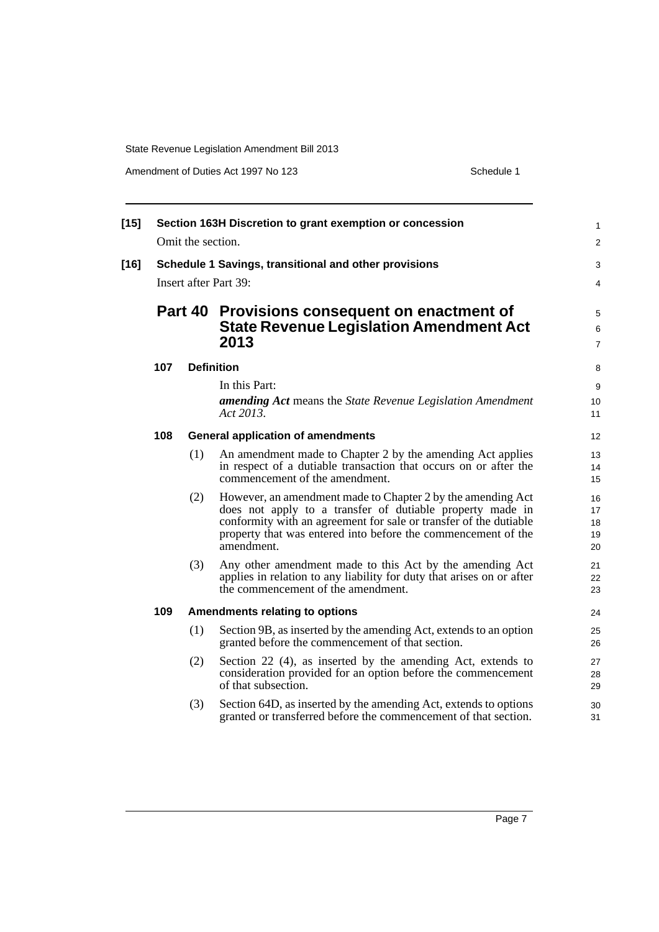Amendment of Duties Act 1997 No 123 Schedule 1

| $[15]$ | Section 163H Discretion to grant exemption or concession |                   |                                                                                                                                                                                                                                                                              |                            |  |  |
|--------|----------------------------------------------------------|-------------------|------------------------------------------------------------------------------------------------------------------------------------------------------------------------------------------------------------------------------------------------------------------------------|----------------------------|--|--|
|        |                                                          | Omit the section. |                                                                                                                                                                                                                                                                              | $\overline{2}$             |  |  |
| $[16]$ |                                                          |                   | Schedule 1 Savings, transitional and other provisions                                                                                                                                                                                                                        | 3                          |  |  |
|        |                                                          |                   | Insert after Part 39:                                                                                                                                                                                                                                                        | 4                          |  |  |
|        |                                                          |                   | Part 40 Provisions consequent on enactment of                                                                                                                                                                                                                                | 5                          |  |  |
|        |                                                          |                   | <b>State Revenue Legislation Amendment Act</b><br>2013                                                                                                                                                                                                                       | 6<br>$\overline{7}$        |  |  |
|        | 107                                                      |                   | <b>Definition</b>                                                                                                                                                                                                                                                            | 8                          |  |  |
|        |                                                          |                   | In this Part:                                                                                                                                                                                                                                                                | 9                          |  |  |
|        |                                                          |                   | <b>amending Act</b> means the State Revenue Legislation Amendment<br>Act 2013.                                                                                                                                                                                               | 10<br>11                   |  |  |
|        | 108                                                      |                   | <b>General application of amendments</b>                                                                                                                                                                                                                                     | 12                         |  |  |
|        |                                                          | (1)               | An amendment made to Chapter 2 by the amending Act applies<br>in respect of a dutiable transaction that occurs on or after the<br>commencement of the amendment.                                                                                                             | 13<br>14<br>15             |  |  |
|        |                                                          | (2)               | However, an amendment made to Chapter 2 by the amending Act<br>does not apply to a transfer of dutiable property made in<br>conformity with an agreement for sale or transfer of the dutiable<br>property that was entered into before the commencement of the<br>amendment. | 16<br>17<br>18<br>19<br>20 |  |  |
|        |                                                          | (3)               | Any other amendment made to this Act by the amending Act<br>applies in relation to any liability for duty that arises on or after<br>the commencement of the amendment.                                                                                                      | 21<br>22<br>23             |  |  |
|        | 109                                                      |                   | <b>Amendments relating to options</b>                                                                                                                                                                                                                                        | 24                         |  |  |
|        |                                                          | (1)               | Section 9B, as inserted by the amending Act, extends to an option<br>granted before the commencement of that section.                                                                                                                                                        | 25<br>26                   |  |  |
|        |                                                          | (2)               | Section 22 (4), as inserted by the amending Act, extends to<br>consideration provided for an option before the commencement<br>of that subsection.                                                                                                                           | 27<br>28<br>29             |  |  |
|        |                                                          | (3)               | Section 64D, as inserted by the amending Act, extends to options<br>granted or transferred before the commencement of that section.                                                                                                                                          | 30<br>31                   |  |  |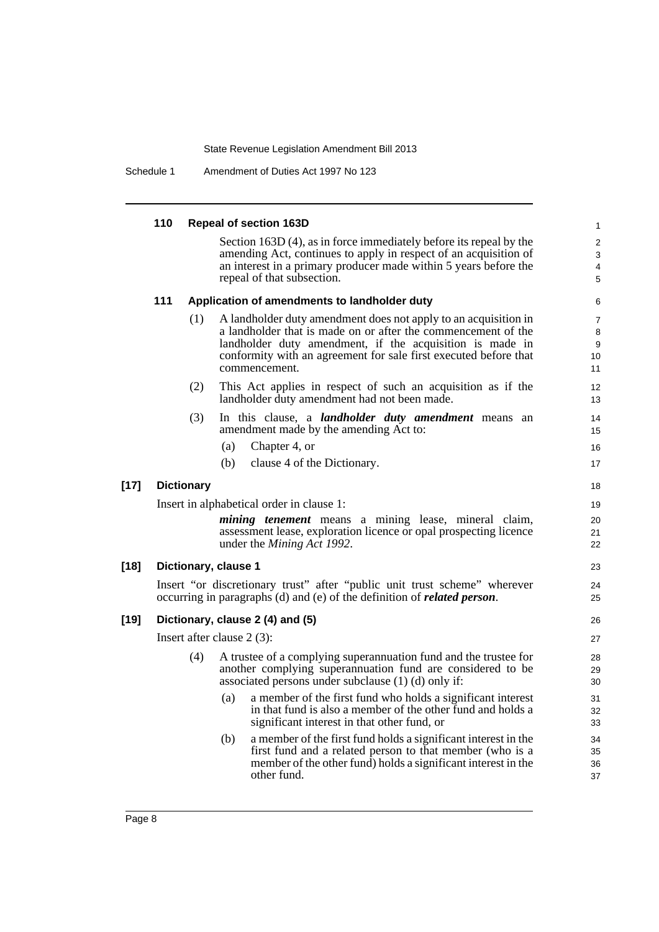Schedule 1 Amendment of Duties Act 1997 No 123

|        | 110 |                   | <b>Repeal of section 163D</b>                                                                                                                                                                                     | $\mathbf{1}$         |
|--------|-----|-------------------|-------------------------------------------------------------------------------------------------------------------------------------------------------------------------------------------------------------------|----------------------|
|        |     |                   | Section $163D(4)$ , as in force immediately before its repeal by the                                                                                                                                              | $\overline{2}$       |
|        |     |                   | amending Act, continues to apply in respect of an acquisition of<br>an interest in a primary producer made within 5 years before the                                                                              | $\mathbf{3}$         |
|        |     |                   | repeal of that subsection.                                                                                                                                                                                        | 4<br>5               |
|        | 111 |                   | Application of amendments to landholder duty                                                                                                                                                                      | 6                    |
|        |     | (1)               | A landholder duty amendment does not apply to an acquisition in                                                                                                                                                   | $\overline{7}$       |
|        |     |                   | a landholder that is made on or after the commencement of the                                                                                                                                                     | 8                    |
|        |     |                   | landholder duty amendment, if the acquisition is made in<br>conformity with an agreement for sale first executed before that                                                                                      | 9<br>10              |
|        |     |                   | commencement.                                                                                                                                                                                                     | 11                   |
|        |     | (2)               | This Act applies in respect of such an acquisition as if the<br>landholder duty amendment had not been made.                                                                                                      | 12<br>13             |
|        |     | (3)               | In this clause, a <i>landholder duty amendment</i> means an<br>amendment made by the amending Act to:                                                                                                             | 14<br>15             |
|        |     |                   | Chapter 4, or<br>(a)                                                                                                                                                                                              | 16                   |
|        |     |                   | clause 4 of the Dictionary.<br>(b)                                                                                                                                                                                | 17                   |
| $[17]$ |     | <b>Dictionary</b> |                                                                                                                                                                                                                   | 18                   |
|        |     |                   | Insert in alphabetical order in clause 1:                                                                                                                                                                         | 19                   |
|        |     |                   | <i>mining tenement</i> means a mining lease, mineral claim,<br>assessment lease, exploration licence or opal prospecting licence<br>under the <i>Mining Act 1992</i> .                                            | 20<br>21<br>22       |
| $[18]$ |     |                   | Dictionary, clause 1                                                                                                                                                                                              | 23                   |
|        |     |                   | Insert "or discretionary trust" after "public unit trust scheme" wherever<br>occurring in paragraphs (d) and (e) of the definition of <i>related person</i> .                                                     | 24<br>25             |
| $[19]$ |     |                   | Dictionary, clause 2 (4) and (5)                                                                                                                                                                                  | 26                   |
|        |     |                   | Insert after clause $2(3)$ :                                                                                                                                                                                      | 27                   |
|        |     | (4)               | A trustee of a complying superannuation fund and the trustee for<br>another complying superannuation fund are considered to be<br>associated persons under subclause (1) (d) only if:                             | 28<br>29<br>30       |
|        |     |                   | a member of the first fund who holds a significant interest<br>(a)<br>in that fund is also a member of the other fund and holds a<br>significant interest in that other fund, or                                  | 31<br>32<br>33       |
|        |     |                   | a member of the first fund holds a significant interest in the<br>(b)<br>first fund and a related person to that member (who is a<br>member of the other fund) holds a significant interest in the<br>other fund. | 34<br>35<br>36<br>37 |
|        |     |                   |                                                                                                                                                                                                                   |                      |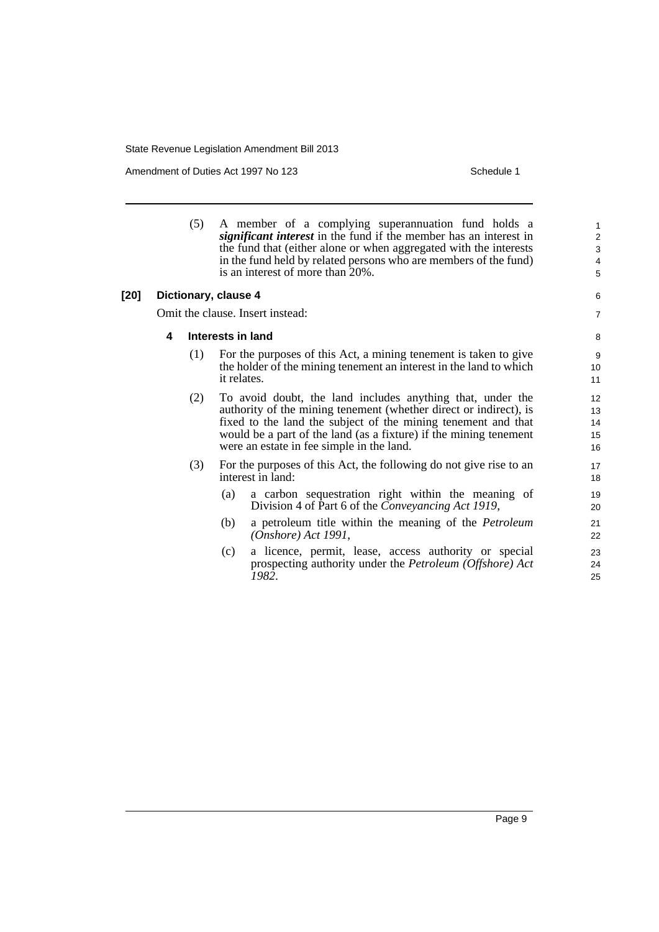Amendment of Duties Act 1997 No 123 Schedule 1

(5) A member of a complying superannuation fund holds a *significant interest* in the fund if the member has an interest in the fund that (either alone or when aggregated with the interests in the fund held by related persons who are members of the fund) is an interest of more than 20%.

#### **[20] Dictionary, clause 4**

Omit the clause. Insert instead:

#### **4 Interests in land**

- (1) For the purposes of this Act, a mining tenement is taken to give the holder of the mining tenement an interest in the land to which it relates.
- (2) To avoid doubt, the land includes anything that, under the authority of the mining tenement (whether direct or indirect), is fixed to the land the subject of the mining tenement and that would be a part of the land (as a fixture) if the mining tenement were an estate in fee simple in the land.
- (3) For the purposes of this Act, the following do not give rise to an interest in land:
	- (a) a carbon sequestration right within the meaning of Division 4 of Part 6 of the *Conveyancing Act 1919*,
	- (b) a petroleum title within the meaning of the *Petroleum (Onshore) Act 1991*,
	- (c) a licence, permit, lease, access authority or special prospecting authority under the *Petroleum (Offshore) Act 1982*.

24 25

6 7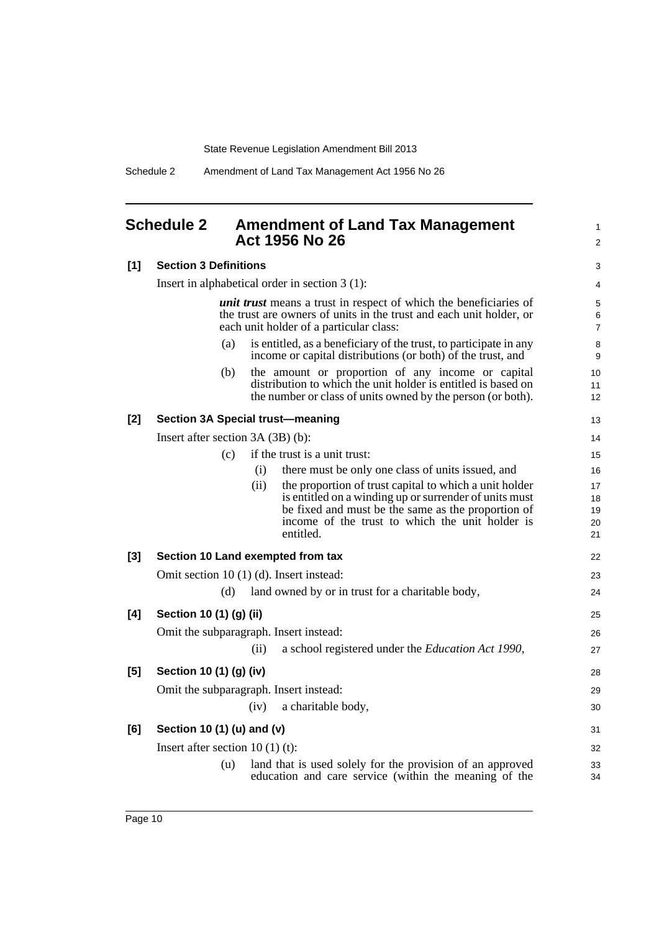Schedule 2 Amendment of Land Tax Management Act 1956 No 26

## <span id="page-17-0"></span>**Schedule 2 Amendment of Land Tax Management Act 1956 No 26**

1 2

3

## **[1] Section 3 Definitions**

|       |                                    | Insert in alphabetical order in section $3(1)$ :                                                                                                                                           | 4                        |
|-------|------------------------------------|--------------------------------------------------------------------------------------------------------------------------------------------------------------------------------------------|--------------------------|
|       |                                    | <i>unit trust</i> means a trust in respect of which the beneficiaries of<br>the trust are owners of units in the trust and each unit holder, or<br>each unit holder of a particular class: | 5<br>6<br>$\overline{7}$ |
|       | (a)                                | is entitled, as a beneficiary of the trust, to participate in any<br>income or capital distributions (or both) of the trust, and                                                           | 8<br>9                   |
|       | (b)                                | the amount or proportion of any income or capital<br>distribution to which the unit holder is entitled is based on<br>the number or class of units owned by the person (or both).          | 10<br>11<br>12           |
| $[2]$ |                                    | <b>Section 3A Special trust-meaning</b>                                                                                                                                                    | 13                       |
|       | Insert after section $3A(3B)(b)$ : |                                                                                                                                                                                            | 14                       |
|       | (c)                                | if the trust is a unit trust:                                                                                                                                                              | 15                       |
|       |                                    | there must be only one class of units issued, and<br>(i)                                                                                                                                   | 16                       |
|       |                                    | the proportion of trust capital to which a unit holder<br>(ii)                                                                                                                             | 17                       |
|       |                                    | is entitled on a winding up or surrender of units must<br>be fixed and must be the same as the proportion of                                                                               | 18                       |
|       |                                    | income of the trust to which the unit holder is                                                                                                                                            | 19<br>20                 |
|       |                                    | entitled.                                                                                                                                                                                  | 21                       |
| $[3]$ |                                    | Section 10 Land exempted from tax                                                                                                                                                          | 22                       |
|       |                                    | Omit section 10 (1) (d). Insert instead:                                                                                                                                                   | 23                       |
|       | (d)                                | land owned by or in trust for a charitable body,                                                                                                                                           | 24                       |
| [4]   | Section 10 (1) (g) (ii)            |                                                                                                                                                                                            | 25                       |
|       |                                    | Omit the subparagraph. Insert instead:                                                                                                                                                     | 26                       |
|       |                                    | a school registered under the Education Act 1990,<br>(ii)                                                                                                                                  | 27                       |
| [5]   | Section 10 (1) (g) (iv)            |                                                                                                                                                                                            | 28                       |
|       |                                    | Omit the subparagraph. Insert instead:                                                                                                                                                     | 29                       |
|       |                                    | a charitable body,<br>(iv)                                                                                                                                                                 | 30                       |
| [6]   | Section 10 (1) (u) and (v)         |                                                                                                                                                                                            | 31                       |
|       | Insert after section $10(1)(t)$ :  |                                                                                                                                                                                            | 32                       |
|       | (u)                                | land that is used solely for the provision of an approved                                                                                                                                  | 33                       |
|       |                                    | education and care service (within the meaning of the                                                                                                                                      | 34                       |
|       |                                    |                                                                                                                                                                                            |                          |
|       |                                    |                                                                                                                                                                                            |                          |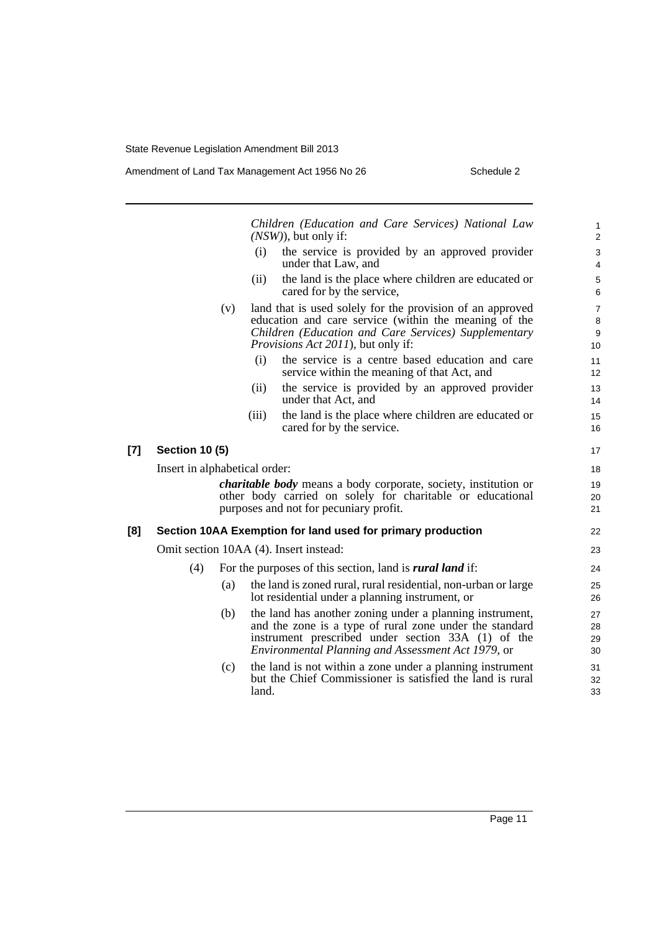|       |                               |     |       | Children (Education and Care Services) National Law<br>$(NSW)$ , but only if:                                                                                                                                                   | $\mathbf{1}$<br>$\overline{2}$                      |
|-------|-------------------------------|-----|-------|---------------------------------------------------------------------------------------------------------------------------------------------------------------------------------------------------------------------------------|-----------------------------------------------------|
|       |                               |     | (i)   | the service is provided by an approved provider<br>under that Law, and                                                                                                                                                          | 3<br>$\overline{4}$                                 |
|       |                               |     | (ii)  | the land is the place where children are educated or<br>cared for by the service,                                                                                                                                               | $\,$ 5 $\,$<br>6                                    |
|       |                               | (v) |       | land that is used solely for the provision of an approved<br>education and care service (within the meaning of the<br>Children (Education and Care Services) Supplementary<br><i>Provisions Act 2011</i> ), but only if:        | $\overline{7}$<br>$\,8\,$<br>$\boldsymbol{9}$<br>10 |
|       |                               |     | (i)   | the service is a centre based education and care<br>service within the meaning of that Act, and                                                                                                                                 | 11<br>12                                            |
|       |                               |     | (ii)  | the service is provided by an approved provider<br>under that Act, and                                                                                                                                                          | 13<br>14                                            |
|       |                               |     | (iii) | the land is the place where children are educated or<br>cared for by the service.                                                                                                                                               | 15<br>16                                            |
| $[7]$ | <b>Section 10 (5)</b>         |     |       |                                                                                                                                                                                                                                 | 17                                                  |
|       | Insert in alphabetical order: |     |       |                                                                                                                                                                                                                                 | 18                                                  |
|       |                               |     |       | <i>charitable body</i> means a body corporate, society, institution or<br>other body carried on solely for charitable or educational<br>purposes and not for pecuniary profit.                                                  | 19<br>20<br>21                                      |
| [8]   |                               |     |       | Section 10AA Exemption for land used for primary production                                                                                                                                                                     | 22                                                  |
|       |                               |     |       | Omit section 10AA (4). Insert instead:                                                                                                                                                                                          | 23                                                  |
|       | (4)                           |     |       | For the purposes of this section, land is <i>rural land</i> if:                                                                                                                                                                 | 24                                                  |
|       |                               | (a) |       | the land is zoned rural, rural residential, non-urban or large<br>lot residential under a planning instrument, or                                                                                                               | 25<br>26                                            |
|       |                               | (b) |       | the land has another zoning under a planning instrument,<br>and the zone is a type of rural zone under the standard<br>instrument prescribed under section 33A (1) of the<br>Environmental Planning and Assessment Act 1979, or | 27<br>28<br>29<br>30                                |
|       |                               | (c) | land. | the land is not within a zone under a planning instrument<br>but the Chief Commissioner is satisfied the land is rural                                                                                                          | 31<br>32<br>33                                      |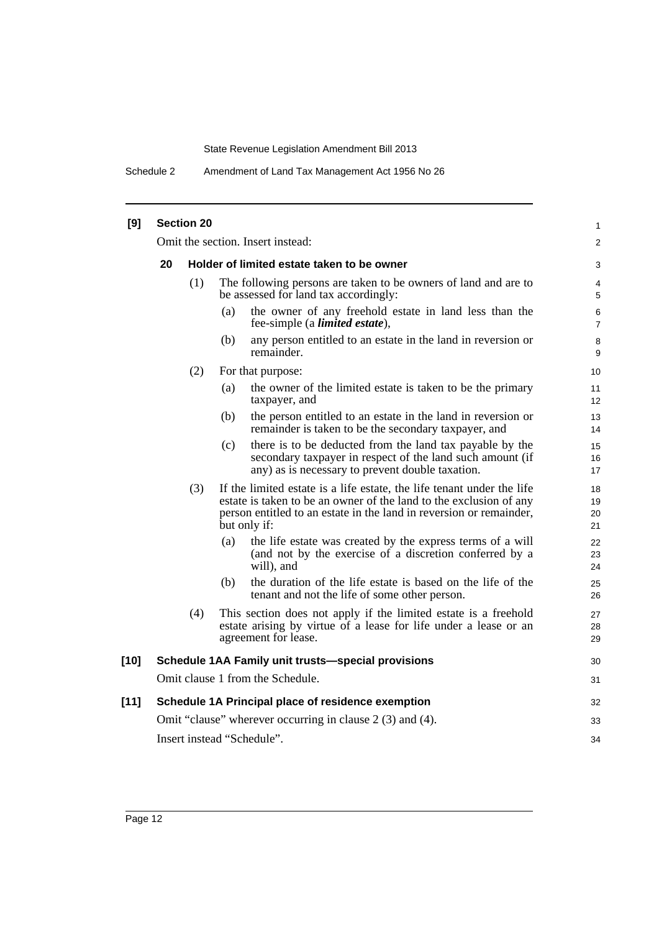Schedule 2 Amendment of Land Tax Management Act 1956 No 26

| [9]    | <b>Section 20</b>          |     |                                                                                                                                                                                                                                     |                      |  |
|--------|----------------------------|-----|-------------------------------------------------------------------------------------------------------------------------------------------------------------------------------------------------------------------------------------|----------------------|--|
|        |                            |     | Omit the section. Insert instead:                                                                                                                                                                                                   | $\overline{c}$       |  |
|        | 20                         |     | Holder of limited estate taken to be owner                                                                                                                                                                                          | 3                    |  |
|        |                            | (1) | The following persons are taken to be owners of land and are to<br>be assessed for land tax accordingly:                                                                                                                            | 4<br>5               |  |
|        |                            |     | the owner of any freehold estate in land less than the<br>(a)<br>fee-simple (a <i>limited estate</i> ),                                                                                                                             | 6<br>7               |  |
|        |                            |     | (b)<br>any person entitled to an estate in the land in reversion or<br>remainder.                                                                                                                                                   | 8<br>9               |  |
|        |                            | (2) | For that purpose:                                                                                                                                                                                                                   | 10                   |  |
|        |                            |     | the owner of the limited estate is taken to be the primary<br>(a)<br>taxpayer, and                                                                                                                                                  | 11<br>12             |  |
|        |                            |     | the person entitled to an estate in the land in reversion or<br>(b)<br>remainder is taken to be the secondary taxpayer, and                                                                                                         | 13<br>14             |  |
|        |                            |     | there is to be deducted from the land tax payable by the<br>(c)<br>secondary taxpayer in respect of the land such amount (if<br>any) as is necessary to prevent double taxation.                                                    | 15<br>16<br>17       |  |
|        |                            | (3) | If the limited estate is a life estate, the life tenant under the life<br>estate is taken to be an owner of the land to the exclusion of any<br>person entitled to an estate in the land in reversion or remainder,<br>but only if: | 18<br>19<br>20<br>21 |  |
|        |                            |     | (a)<br>the life estate was created by the express terms of a will<br>(and not by the exercise of a discretion conferred by a<br>will), and                                                                                          | 22<br>23<br>24       |  |
|        |                            |     | the duration of the life estate is based on the life of the<br>(b)<br>tenant and not the life of some other person.                                                                                                                 | 25<br>26             |  |
|        |                            | (4) | This section does not apply if the limited estate is a freehold<br>estate arising by virtue of a lease for life under a lease or an<br>agreement for lease.                                                                         | 27<br>28<br>29       |  |
| $[10]$ |                            |     | Schedule 1AA Family unit trusts-special provisions                                                                                                                                                                                  | 30                   |  |
|        |                            |     | Omit clause 1 from the Schedule.                                                                                                                                                                                                    | 31                   |  |
| [11]   |                            |     | Schedule 1A Principal place of residence exemption                                                                                                                                                                                  | 32                   |  |
|        |                            |     | Omit "clause" wherever occurring in clause 2 (3) and (4).                                                                                                                                                                           | 33                   |  |
|        | Insert instead "Schedule". |     |                                                                                                                                                                                                                                     |                      |  |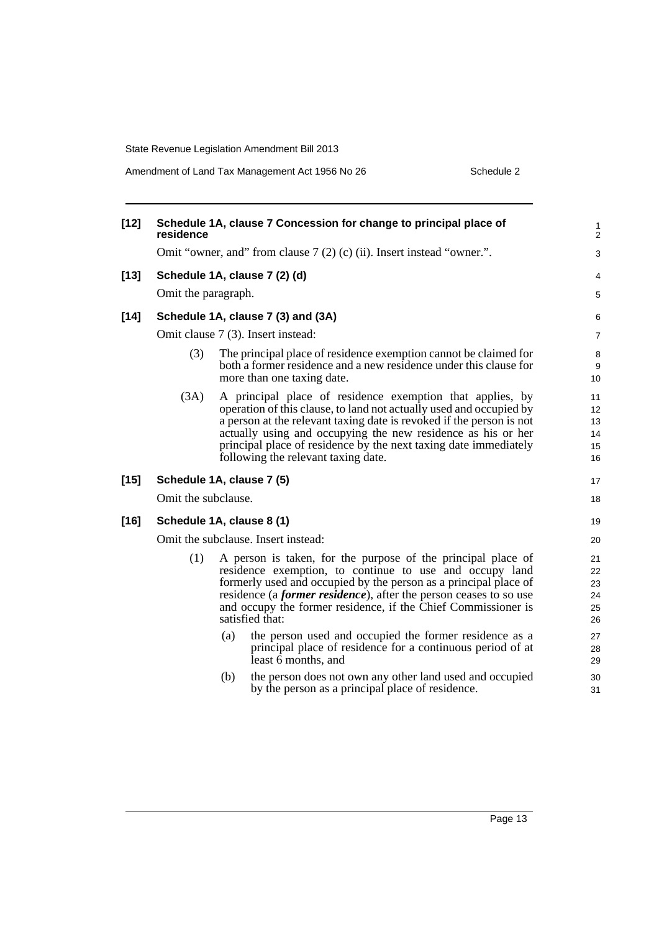Amendment of Land Tax Management Act 1956 No 26 Schedule 2

| $[12]$ | Schedule 1A, clause 7 Concession for change to principal place of<br>residence |            |                                                                                                                                                                                                                                                                                                                                                                                                                                                                                                                                                                                 |                                                          |  |
|--------|--------------------------------------------------------------------------------|------------|---------------------------------------------------------------------------------------------------------------------------------------------------------------------------------------------------------------------------------------------------------------------------------------------------------------------------------------------------------------------------------------------------------------------------------------------------------------------------------------------------------------------------------------------------------------------------------|----------------------------------------------------------|--|
|        |                                                                                |            | Omit "owner, and" from clause 7 (2) (c) (ii). Insert instead "owner.".                                                                                                                                                                                                                                                                                                                                                                                                                                                                                                          | 3                                                        |  |
| $[13]$ |                                                                                |            | Schedule 1A, clause 7 (2) (d)                                                                                                                                                                                                                                                                                                                                                                                                                                                                                                                                                   | 4                                                        |  |
|        | Omit the paragraph.                                                            |            |                                                                                                                                                                                                                                                                                                                                                                                                                                                                                                                                                                                 | 5                                                        |  |
| $[14]$ |                                                                                |            | Schedule 1A, clause 7 (3) and (3A)                                                                                                                                                                                                                                                                                                                                                                                                                                                                                                                                              | 6                                                        |  |
|        |                                                                                |            | Omit clause 7 (3). Insert instead:                                                                                                                                                                                                                                                                                                                                                                                                                                                                                                                                              | 7                                                        |  |
|        | (3)                                                                            |            | The principal place of residence exemption cannot be claimed for<br>both a former residence and a new residence under this clause for<br>more than one taxing date.                                                                                                                                                                                                                                                                                                                                                                                                             | 8<br>9<br>10                                             |  |
|        | (3A)                                                                           |            | A principal place of residence exemption that applies, by<br>operation of this clause, to land not actually used and occupied by<br>a person at the relevant taxing date is revoked if the person is not<br>actually using and occupying the new residence as his or her<br>principal place of residence by the next taxing date immediately<br>following the relevant taxing date.                                                                                                                                                                                             | 11<br>12<br>13<br>14<br>15<br>16                         |  |
| $[15]$ | Schedule 1A, clause 7 (5)                                                      |            |                                                                                                                                                                                                                                                                                                                                                                                                                                                                                                                                                                                 | 17                                                       |  |
|        | Omit the subclause.                                                            |            |                                                                                                                                                                                                                                                                                                                                                                                                                                                                                                                                                                                 | 18                                                       |  |
| $[16]$ | Schedule 1A, clause 8 (1)                                                      |            |                                                                                                                                                                                                                                                                                                                                                                                                                                                                                                                                                                                 | 19                                                       |  |
|        |                                                                                |            | Omit the subclause. Insert instead:                                                                                                                                                                                                                                                                                                                                                                                                                                                                                                                                             | 20                                                       |  |
|        | (1)                                                                            | (a)<br>(b) | A person is taken, for the purpose of the principal place of<br>residence exemption, to continue to use and occupy land<br>formerly used and occupied by the person as a principal place of<br>residence (a <i>former residence</i> ), after the person ceases to so use<br>and occupy the former residence, if the Chief Commissioner is<br>satisfied that:<br>the person used and occupied the former residence as a<br>principal place of residence for a continuous period of at<br>least $\vec{6}$ months, and<br>the person does not own any other land used and occupied | 21<br>22<br>23<br>24<br>25<br>26<br>27<br>28<br>29<br>30 |  |
|        |                                                                                |            | by the person as a principal place of residence.                                                                                                                                                                                                                                                                                                                                                                                                                                                                                                                                | 31                                                       |  |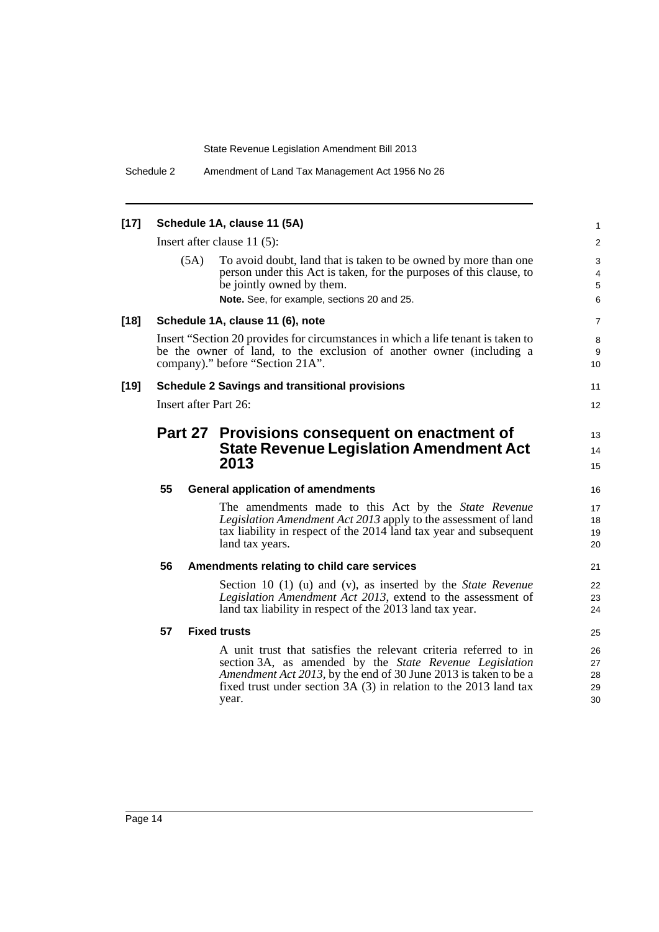| $[17]$ | Schedule 1A, clause 11 (5A)<br>Insert after clause $11(5)$ :                                                                                                                                 |                     |                                                                                                                                                                                                                                                                               |                            |  |  |
|--------|----------------------------------------------------------------------------------------------------------------------------------------------------------------------------------------------|---------------------|-------------------------------------------------------------------------------------------------------------------------------------------------------------------------------------------------------------------------------------------------------------------------------|----------------------------|--|--|
|        |                                                                                                                                                                                              |                     |                                                                                                                                                                                                                                                                               |                            |  |  |
|        |                                                                                                                                                                                              | (5A)                | To avoid doubt, land that is taken to be owned by more than one<br>person under this Act is taken, for the purposes of this clause, to<br>be jointly owned by them.<br>Note. See, for example, sections 20 and 25.                                                            | 3<br>4<br>5<br>6           |  |  |
| $[18]$ |                                                                                                                                                                                              |                     | Schedule 1A, clause 11 (6), note                                                                                                                                                                                                                                              | 7                          |  |  |
|        | Insert "Section 20 provides for circumstances in which a life tenant is taken to<br>be the owner of land, to the exclusion of another owner (including a<br>company)." before "Section 21A". |                     |                                                                                                                                                                                                                                                                               |                            |  |  |
| [19]   | <b>Schedule 2 Savings and transitional provisions</b>                                                                                                                                        |                     |                                                                                                                                                                                                                                                                               |                            |  |  |
|        | Insert after Part 26:                                                                                                                                                                        |                     |                                                                                                                                                                                                                                                                               |                            |  |  |
|        | Part 27 Provisions consequent on enactment of<br><b>State Revenue Legislation Amendment Act</b><br>2013                                                                                      |                     |                                                                                                                                                                                                                                                                               |                            |  |  |
|        | 55                                                                                                                                                                                           |                     | <b>General application of amendments</b>                                                                                                                                                                                                                                      | 16                         |  |  |
|        |                                                                                                                                                                                              |                     | The amendments made to this Act by the State Revenue<br>Legislation Amendment Act 2013 apply to the assessment of land<br>tax liability in respect of the 2014 land tax year and subsequent<br>land tax years.                                                                | 17<br>18<br>19<br>20       |  |  |
|        | 56                                                                                                                                                                                           |                     | Amendments relating to child care services                                                                                                                                                                                                                                    | 21                         |  |  |
|        |                                                                                                                                                                                              |                     | Section 10 (1) (u) and (v), as inserted by the <i>State Revenue</i><br>Legislation Amendment Act 2013, extend to the assessment of<br>land tax liability in respect of the 2013 land tax year.                                                                                | 22<br>23<br>24             |  |  |
|        | 57                                                                                                                                                                                           | <b>Fixed trusts</b> |                                                                                                                                                                                                                                                                               |                            |  |  |
|        |                                                                                                                                                                                              |                     | A unit trust that satisfies the relevant criteria referred to in<br>section 3A, as amended by the State Revenue Legislation<br>Amendment Act 2013, by the end of 30 June 2013 is taken to be a<br>fixed trust under section $3A(3)$ in relation to the 2013 land tax<br>year. | 26<br>27<br>28<br>29<br>30 |  |  |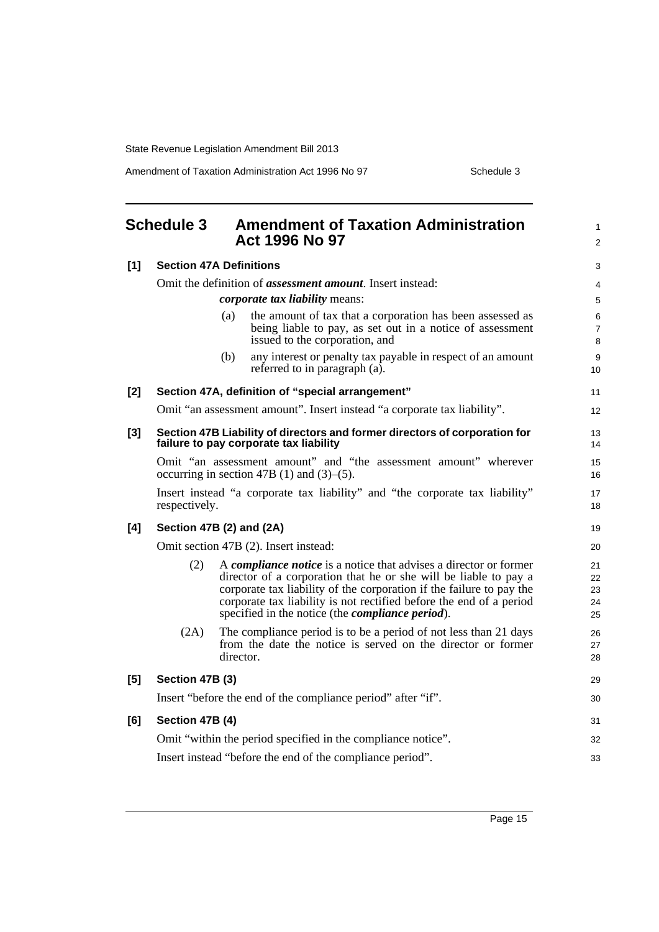Amendment of Taxation Administration Act 1996 No 97 Schedule 3

<span id="page-22-0"></span>

|       | <b>Schedule 3</b>                                                                                                    |           | <b>Amendment of Taxation Administration</b><br><b>Act 1996 No 97</b>                                                                                                                                                                                                                                                                                    | 1<br>$\overline{c}$        |  |  |  |
|-------|----------------------------------------------------------------------------------------------------------------------|-----------|---------------------------------------------------------------------------------------------------------------------------------------------------------------------------------------------------------------------------------------------------------------------------------------------------------------------------------------------------------|----------------------------|--|--|--|
| [1]   | <b>Section 47A Definitions</b>                                                                                       |           |                                                                                                                                                                                                                                                                                                                                                         |                            |  |  |  |
|       | Omit the definition of <i>assessment amount</i> . Insert instead:                                                    |           |                                                                                                                                                                                                                                                                                                                                                         |                            |  |  |  |
|       | <i>corporate tax liability means:</i>                                                                                |           |                                                                                                                                                                                                                                                                                                                                                         |                            |  |  |  |
|       |                                                                                                                      | (a)       | the amount of tax that a corporation has been assessed as<br>being liable to pay, as set out in a notice of assessment<br>issued to the corporation, and                                                                                                                                                                                                | 6<br>7<br>8                |  |  |  |
|       |                                                                                                                      | (b)       | any interest or penalty tax payable in respect of an amount<br>referred to in paragraph (a).                                                                                                                                                                                                                                                            | 9<br>10                    |  |  |  |
| $[2]$ | Section 47A, definition of "special arrangement"                                                                     |           |                                                                                                                                                                                                                                                                                                                                                         |                            |  |  |  |
|       | Omit "an assessment amount". Insert instead "a corporate tax liability".                                             |           |                                                                                                                                                                                                                                                                                                                                                         |                            |  |  |  |
| $[3]$ | Section 47B Liability of directors and former directors of corporation for<br>failure to pay corporate tax liability |           |                                                                                                                                                                                                                                                                                                                                                         |                            |  |  |  |
|       | Omit "an assessment amount" and "the assessment amount" wherever<br>occurring in section 47B (1) and $(3)$ – $(5)$ . |           |                                                                                                                                                                                                                                                                                                                                                         |                            |  |  |  |
|       | Insert instead "a corporate tax liability" and "the corporate tax liability"<br>respectively.                        |           |                                                                                                                                                                                                                                                                                                                                                         |                            |  |  |  |
| [4]   | Section 47B (2) and (2A)                                                                                             |           |                                                                                                                                                                                                                                                                                                                                                         |                            |  |  |  |
|       | Omit section 47B (2). Insert instead:                                                                                |           |                                                                                                                                                                                                                                                                                                                                                         |                            |  |  |  |
|       | (2)                                                                                                                  |           | A <i>compliance notice</i> is a notice that advises a director or former<br>director of a corporation that he or she will be liable to pay a<br>corporate tax liability of the corporation if the failure to pay the<br>corporate tax liability is not rectified before the end of a period<br>specified in the notice (the <i>compliance period</i> ). | 21<br>22<br>23<br>24<br>25 |  |  |  |
|       | (2A)                                                                                                                 | director. | The compliance period is to be a period of not less than 21 days<br>from the date the notice is served on the director or former                                                                                                                                                                                                                        | 26<br>27<br>28             |  |  |  |
| [5]   | Section 47B (3)                                                                                                      |           |                                                                                                                                                                                                                                                                                                                                                         |                            |  |  |  |
|       | Insert "before the end of the compliance period" after "if".                                                         |           |                                                                                                                                                                                                                                                                                                                                                         |                            |  |  |  |
| [6]   | Section 47B (4)                                                                                                      |           |                                                                                                                                                                                                                                                                                                                                                         |                            |  |  |  |
|       | Omit "within the period specified in the compliance notice".                                                         |           |                                                                                                                                                                                                                                                                                                                                                         |                            |  |  |  |
|       | Insert instead "before the end of the compliance period".                                                            |           |                                                                                                                                                                                                                                                                                                                                                         |                            |  |  |  |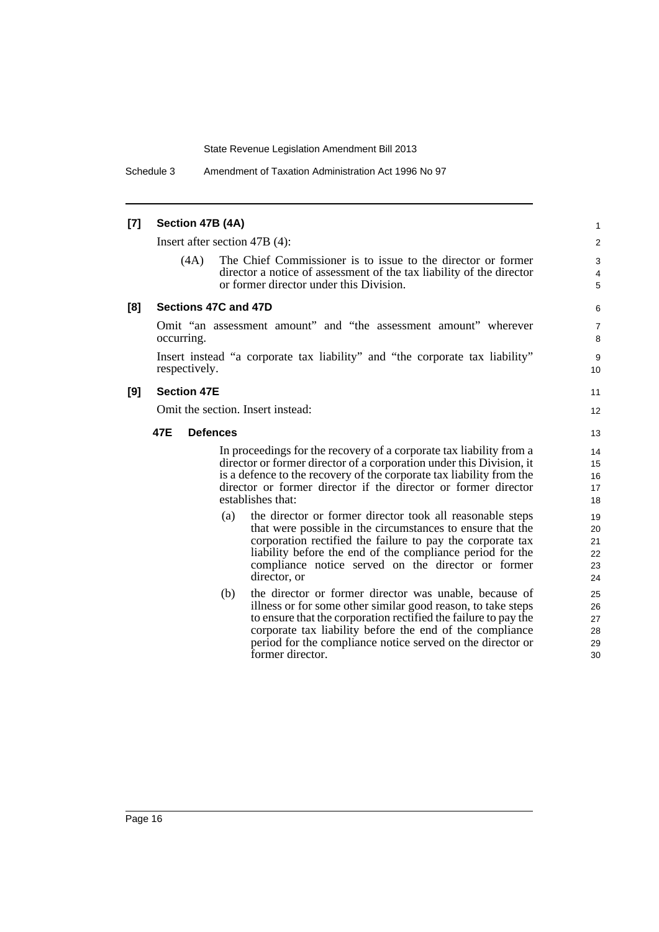Schedule 3 Amendment of Taxation Administration Act 1996 No 97

### **[7] Section 47B (4A)**

Insert after section 47B (4):

(4A) The Chief Commissioner is to issue to the director or former director a notice of assessment of the tax liability of the director or former director under this Division.

11 12

#### **[8] Sections 47C and 47D**

Omit "an assessment amount" and "the assessment amount" wherever occurring.

Insert instead "a corporate tax liability" and "the corporate tax liability" respectively.

#### **[9] Section 47E**

Omit the section. Insert instead:

#### **47E Defences**

In proceedings for the recovery of a corporate tax liability from a director or former director of a corporation under this Division, it is a defence to the recovery of the corporate tax liability from the director or former director if the director or former director establishes that:

- (a) the director or former director took all reasonable steps that were possible in the circumstances to ensure that the corporation rectified the failure to pay the corporate tax liability before the end of the compliance period for the compliance notice served on the director or former director, or
- (b) the director or former director was unable, because of illness or for some other similar good reason, to take steps to ensure that the corporation rectified the failure to pay the corporate tax liability before the end of the compliance period for the compliance notice served on the director or former director.